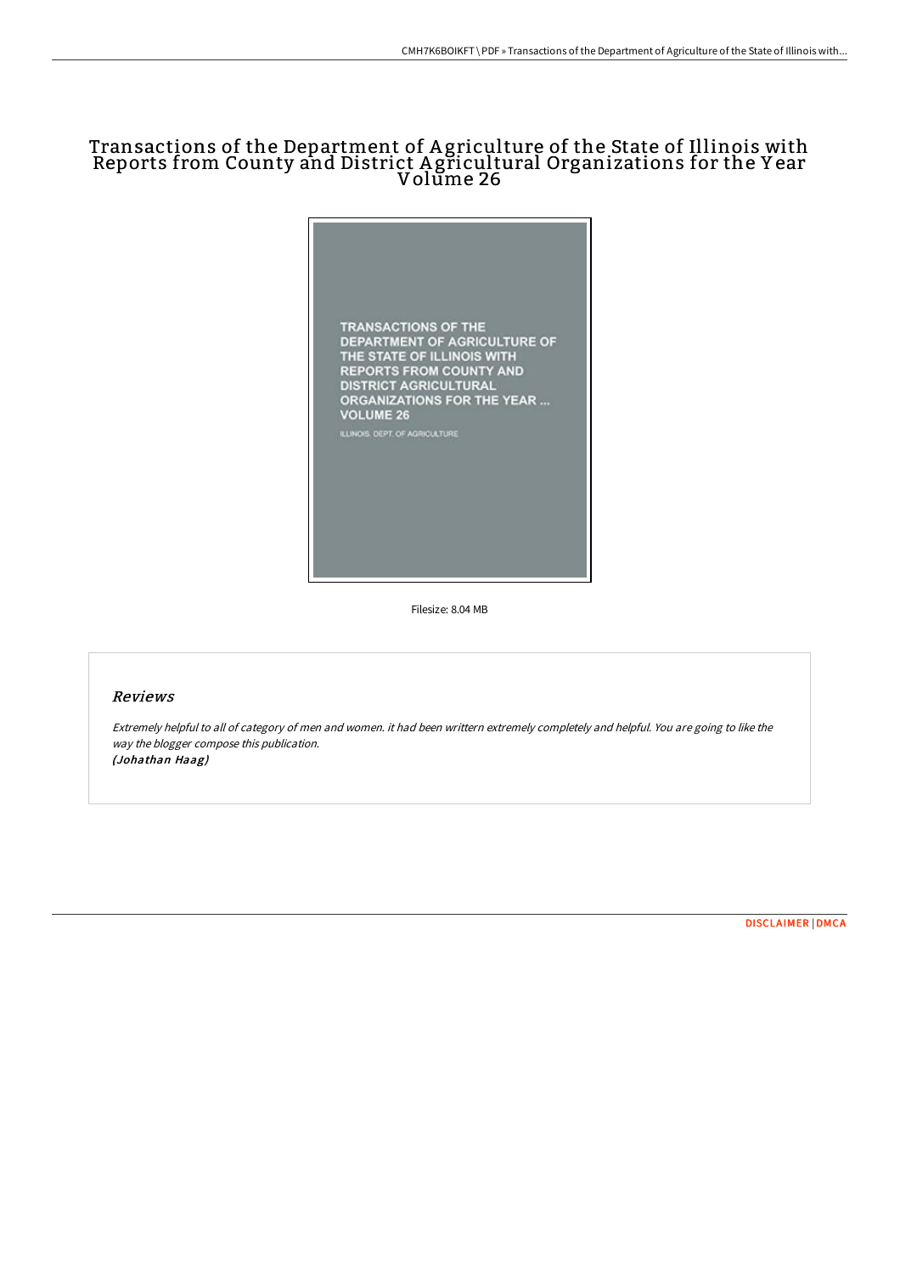# Transactions of the Department of A griculture of the State of Illinois with Reports from County and District A gricultural Organizations for the Y ear Volume 26



Filesize: 8.04 MB

## Reviews

Extremely helpful to all of category of men and women. it had been writtern extremely completely and helpful. You are going to like the way the blogger compose this publication. (Johathan Haag)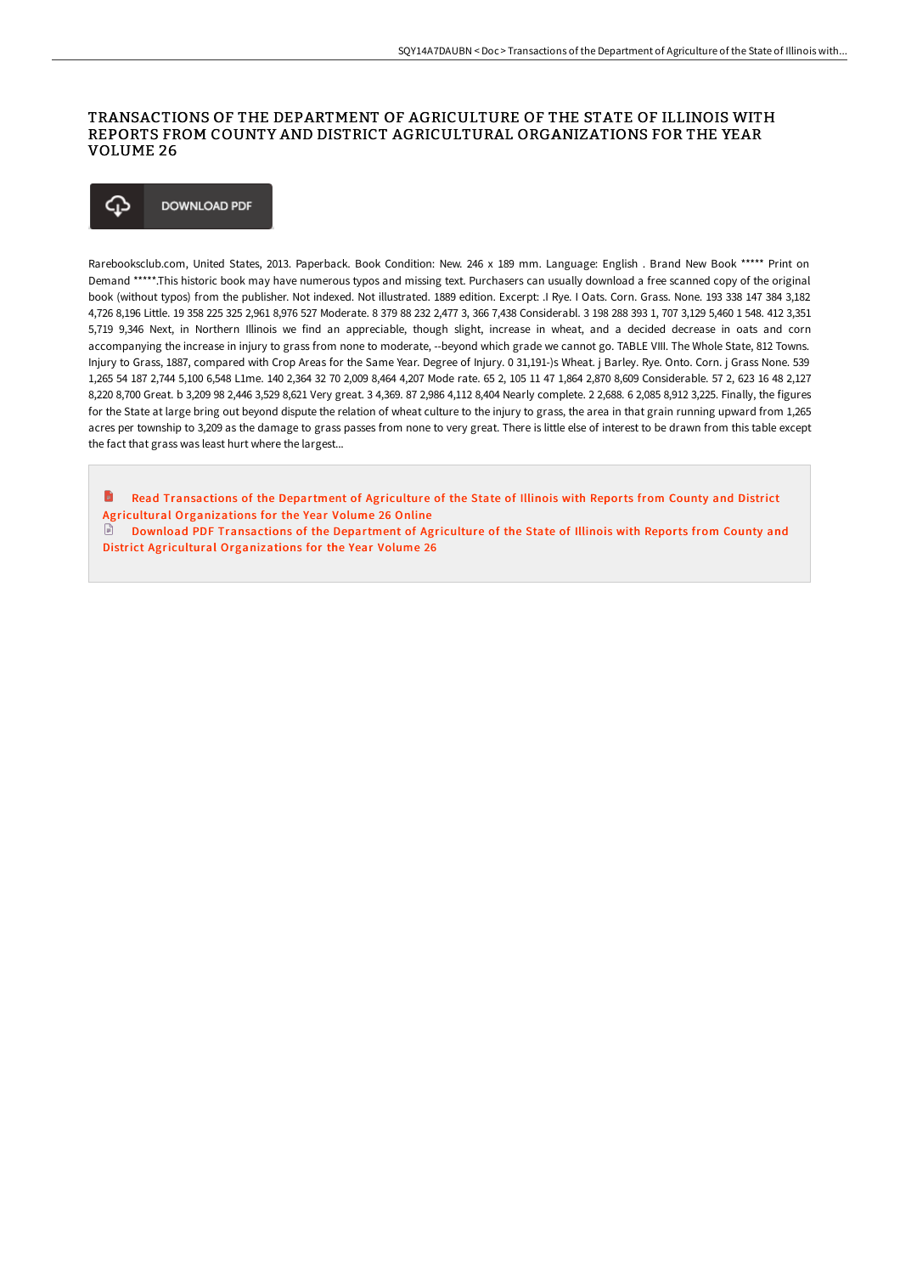### TRANSACTIONS OF THE DEPARTMENT OF AGRICULTURE OF THE STATE OF ILLINOIS WITH REPORTS FROM COUNTY AND DISTRICT AGRICULTURAL ORGANIZATIONS FOR THE YEAR VOLUME 26

#### ♤ **DOWNLOAD PDF**

Rarebooksclub.com, United States, 2013. Paperback. Book Condition: New. 246 x 189 mm. Language: English . Brand New Book \*\*\*\*\* Print on Demand \*\*\*\*\*.This historic book may have numerous typos and missing text. Purchasers can usually download a free scanned copy of the original book (without typos) from the publisher. Not indexed. Not illustrated. 1889 edition. Excerpt: .I Rye. I Oats. Corn. Grass. None. 193 338 147 384 3,182 4,726 8,196 Little. 19 358 225 325 2,961 8,976 527 Moderate. 8 379 88 232 2,477 3, 366 7,438 Considerabl. 3 198 288 393 1, 707 3,129 5,460 1 548. 412 3,351 5,719 9,346 Next, in Northern Illinois we find an appreciable, though slight, increase in wheat, and a decided decrease in oats and corn accompanying the increase in injury to grass from none to moderate, --beyond which grade we cannot go. TABLE VIII. The Whole State, 812 Towns. Injury to Grass, 1887, compared with Crop Areas for the Same Year. Degree of Injury. 0 31,191-)s Wheat. j Barley. Rye. Onto. Corn. j Grass None. 539 1,265 54 187 2,744 5,100 6,548 L1me. 140 2,364 32 70 2,009 8,464 4,207 Mode rate. 65 2, 105 11 47 1,864 2,870 8,609 Considerable. 57 2, 623 16 48 2,127 8,220 8,700 Great. b 3,209 98 2,446 3,529 8,621 Very great. 3 4,369. 87 2,986 4,112 8,404 Nearly complete. 2 2,688. 6 2,085 8,912 3,225. Finally, the figures for the State at large bring out beyond dispute the relation of wheat culture to the injury to grass, the area in that grain running upward from 1,265 acres per township to 3,209 as the damage to grass passes from none to very great. There is little else of interest to be drawn from this table except the fact that grass was least hurt where the largest...

B Read Transactions of the Department of Agriculture of the State of Illinois with Reports from County and District Agricultural [Organizations](http://bookera.tech/transactions-of-the-department-of-agriculture-of-5.html) for the Year Volume 26 Online

Download PDF Transactions of the Department of Agriculture of the State of Illinois with Reports from County and District Agricultural [Organizations](http://bookera.tech/transactions-of-the-department-of-agriculture-of-5.html) for the Year Volume 26